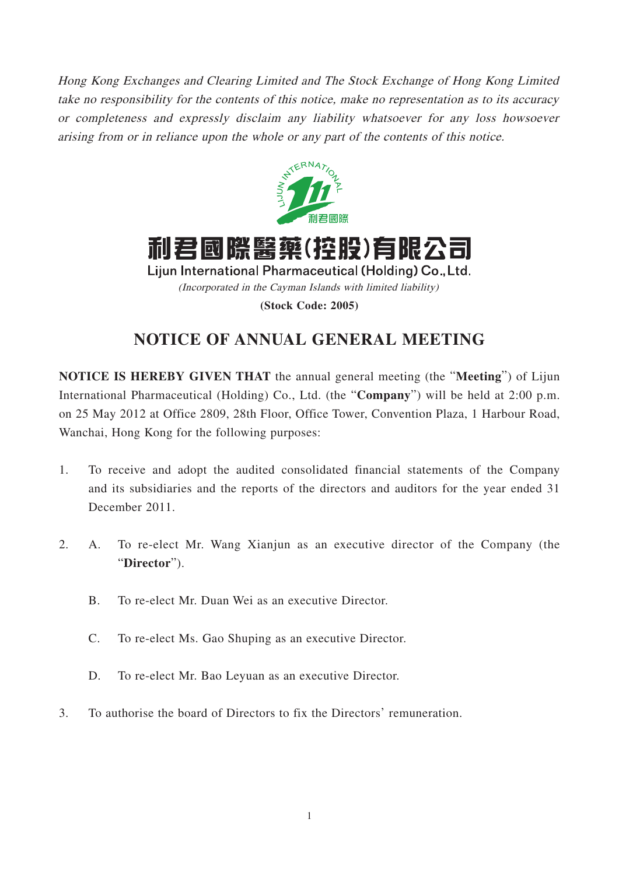Hong Kong Exchanges and Clearing Limited and The Stock Exchange of Hong Kong Limited take no responsibility for the contents of this notice, make no representation as to its accuracy or completeness and expressly disclaim any liability whatsoever for any loss howsoever arising from or in reliance upon the whole or any part of the contents of this notice.





Lijun International Pharmaceutical (Holding) Co., Ltd. (Incorporated in the Cayman Islands with limited liability)

**(Stock Code: 2005)**

# **NOTICE OF ANNUAL GENERAL MEETING**

**NOTICE IS HEREBY GIVEN THAT** the annual general meeting (the "**Meeting**") of Lijun International Pharmaceutical (Holding) Co., Ltd. (the "**Company**") will be held at 2:00 p.m. on 25 May 2012 at Office 2809, 28th Floor, Office Tower, Convention Plaza, 1 Harbour Road, Wanchai, Hong Kong for the following purposes:

- 1. To receive and adopt the audited consolidated financial statements of the Company and its subsidiaries and the reports of the directors and auditors for the year ended 31 December 2011.
- 2. A. To re-elect Mr. Wang Xianjun as an executive director of the Company (the "**Director**").
	- B. To re-elect Mr. Duan Wei as an executive Director.
	- C. To re-elect Ms. Gao Shuping as an executive Director.
	- D. To re-elect Mr. Bao Leyuan as an executive Director.
- 3. To authorise the board of Directors to fix the Directors' remuneration.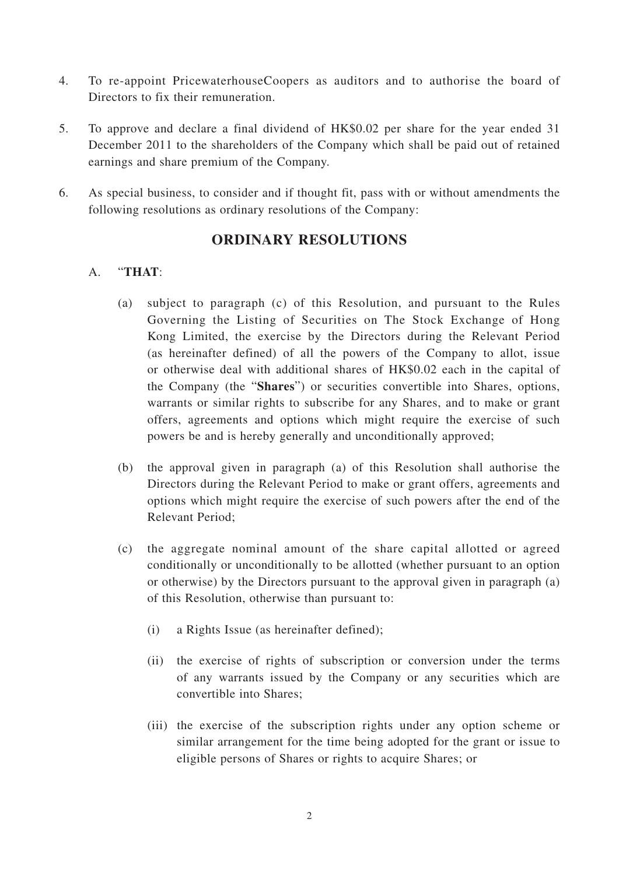- 4. To re-appoint PricewaterhouseCoopers as auditors and to authorise the board of Directors to fix their remuneration.
- 5. To approve and declare a final dividend of HK\$0.02 per share for the year ended 31 December 2011 to the shareholders of the Company which shall be paid out of retained earnings and share premium of the Company.
- 6. As special business, to consider and if thought fit, pass with or without amendments the following resolutions as ordinary resolutions of the Company:

## **ORDINARY RESOLUTIONS**

### A. "**THAT**:

- (a) subject to paragraph (c) of this Resolution, and pursuant to the Rules Governing the Listing of Securities on The Stock Exchange of Hong Kong Limited, the exercise by the Directors during the Relevant Period (as hereinafter defined) of all the powers of the Company to allot, issue or otherwise deal with additional shares of HK\$0.02 each in the capital of the Company (the "**Shares**") or securities convertible into Shares, options, warrants or similar rights to subscribe for any Shares, and to make or grant offers, agreements and options which might require the exercise of such powers be and is hereby generally and unconditionally approved;
- (b) the approval given in paragraph (a) of this Resolution shall authorise the Directors during the Relevant Period to make or grant offers, agreements and options which might require the exercise of such powers after the end of the Relevant Period;
- (c) the aggregate nominal amount of the share capital allotted or agreed conditionally or unconditionally to be allotted (whether pursuant to an option or otherwise) by the Directors pursuant to the approval given in paragraph (a) of this Resolution, otherwise than pursuant to:
	- (i) a Rights Issue (as hereinafter defined);
	- (ii) the exercise of rights of subscription or conversion under the terms of any warrants issued by the Company or any securities which are convertible into Shares;
	- (iii) the exercise of the subscription rights under any option scheme or similar arrangement for the time being adopted for the grant or issue to eligible persons of Shares or rights to acquire Shares; or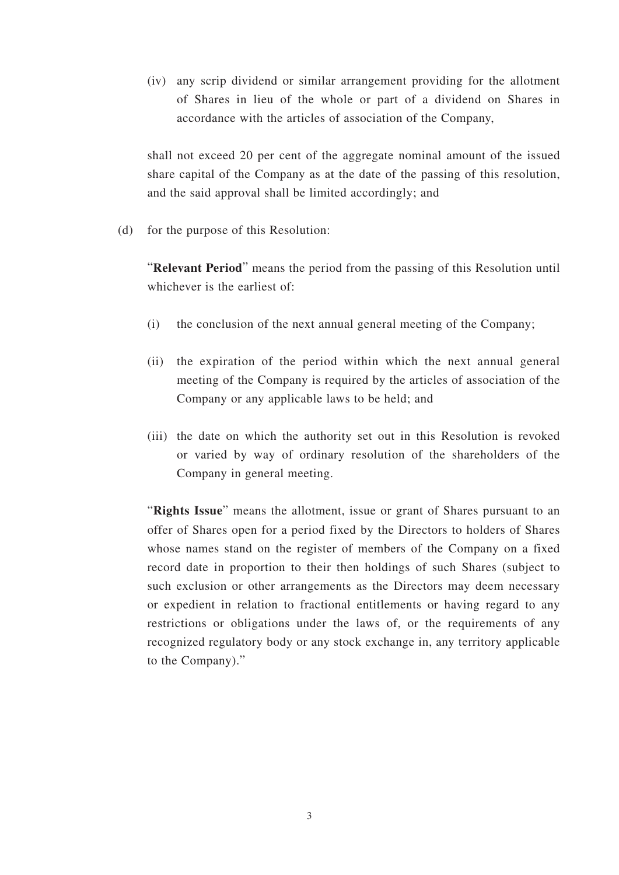(iv) any scrip dividend or similar arrangement providing for the allotment of Shares in lieu of the whole or part of a dividend on Shares in accordance with the articles of association of the Company,

shall not exceed 20 per cent of the aggregate nominal amount of the issued share capital of the Company as at the date of the passing of this resolution, and the said approval shall be limited accordingly; and

(d) for the purpose of this Resolution:

"**Relevant Period**" means the period from the passing of this Resolution until whichever is the earliest of:

- (i) the conclusion of the next annual general meeting of the Company;
- (ii) the expiration of the period within which the next annual general meeting of the Company is required by the articles of association of the Company or any applicable laws to be held; and
- (iii) the date on which the authority set out in this Resolution is revoked or varied by way of ordinary resolution of the shareholders of the Company in general meeting.

"**Rights Issue**" means the allotment, issue or grant of Shares pursuant to an offer of Shares open for a period fixed by the Directors to holders of Shares whose names stand on the register of members of the Company on a fixed record date in proportion to their then holdings of such Shares (subject to such exclusion or other arrangements as the Directors may deem necessary or expedient in relation to fractional entitlements or having regard to any restrictions or obligations under the laws of, or the requirements of any recognized regulatory body or any stock exchange in, any territory applicable to the Company)."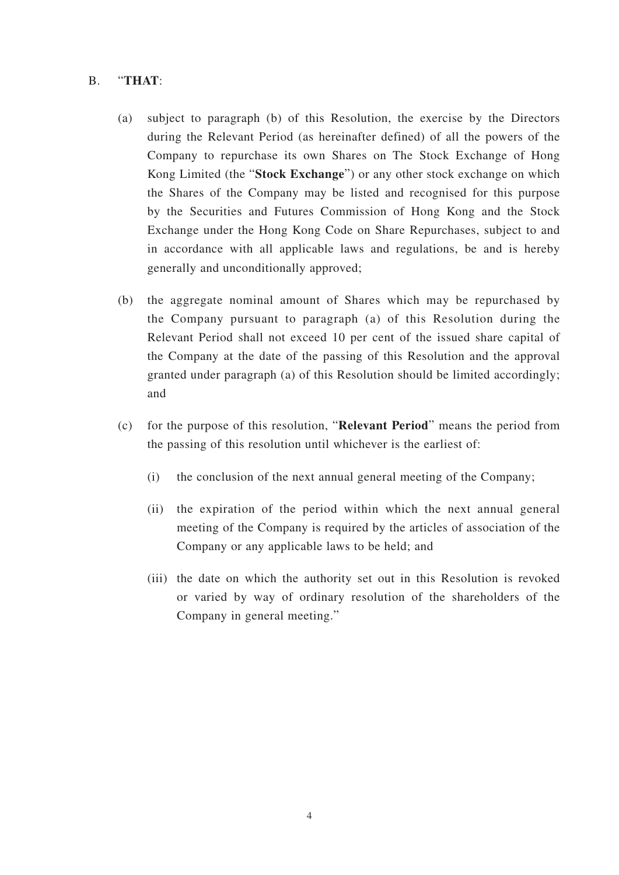#### B. "**THAT**:

- (a) subject to paragraph (b) of this Resolution, the exercise by the Directors during the Relevant Period (as hereinafter defined) of all the powers of the Company to repurchase its own Shares on The Stock Exchange of Hong Kong Limited (the "**Stock Exchange**") or any other stock exchange on which the Shares of the Company may be listed and recognised for this purpose by the Securities and Futures Commission of Hong Kong and the Stock Exchange under the Hong Kong Code on Share Repurchases, subject to and in accordance with all applicable laws and regulations, be and is hereby generally and unconditionally approved;
- (b) the aggregate nominal amount of Shares which may be repurchased by the Company pursuant to paragraph (a) of this Resolution during the Relevant Period shall not exceed 10 per cent of the issued share capital of the Company at the date of the passing of this Resolution and the approval granted under paragraph (a) of this Resolution should be limited accordingly; and
- (c) for the purpose of this resolution, "**Relevant Period**" means the period from the passing of this resolution until whichever is the earliest of:
	- (i) the conclusion of the next annual general meeting of the Company;
	- (ii) the expiration of the period within which the next annual general meeting of the Company is required by the articles of association of the Company or any applicable laws to be held; and
	- (iii) the date on which the authority set out in this Resolution is revoked or varied by way of ordinary resolution of the shareholders of the Company in general meeting."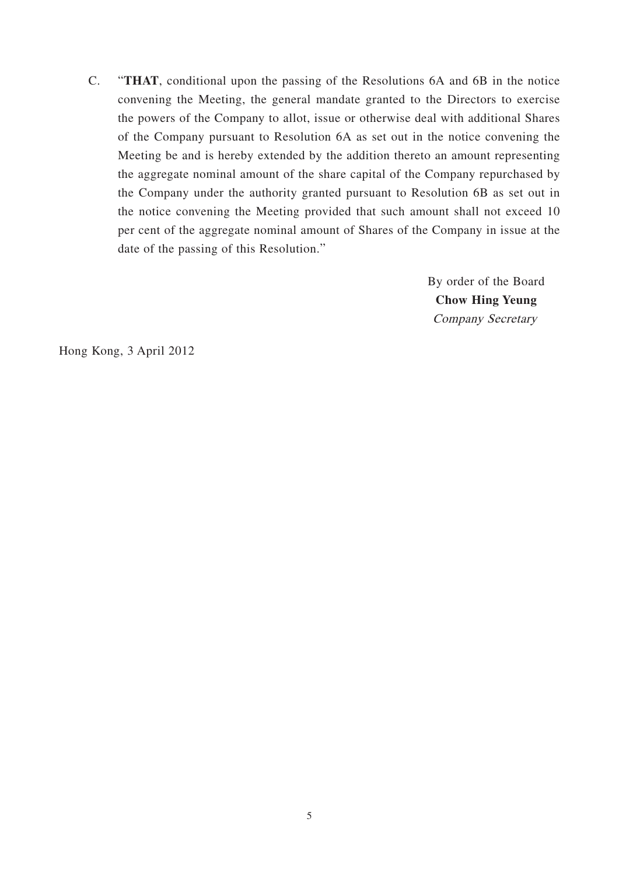C. "**THAT**, conditional upon the passing of the Resolutions 6A and 6B in the notice convening the Meeting, the general mandate granted to the Directors to exercise the powers of the Company to allot, issue or otherwise deal with additional Shares of the Company pursuant to Resolution 6A as set out in the notice convening the Meeting be and is hereby extended by the addition thereto an amount representing the aggregate nominal amount of the share capital of the Company repurchased by the Company under the authority granted pursuant to Resolution 6B as set out in the notice convening the Meeting provided that such amount shall not exceed 10 per cent of the aggregate nominal amount of Shares of the Company in issue at the date of the passing of this Resolution."

> By order of the Board **Chow Hing Yeung** Company Secretary

Hong Kong, 3 April 2012